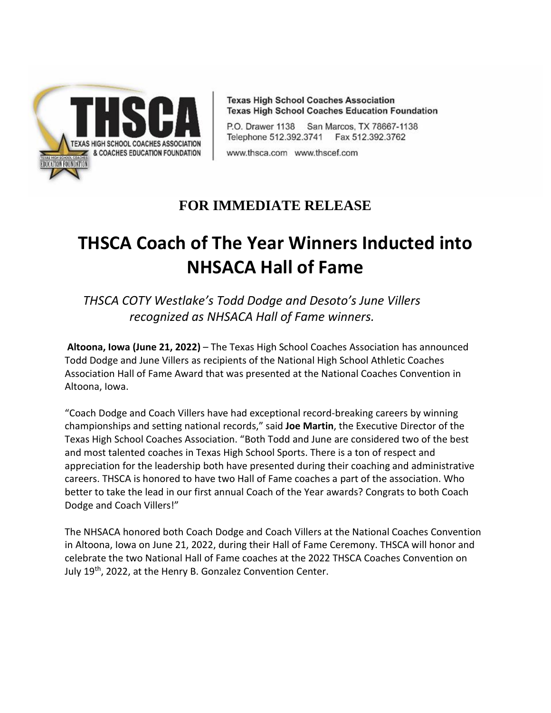

**Texas High School Coaches Association Texas High School Coaches Education Foundation** 

P.O. Drawer 1138 San Marcos, TX 78667-1138 Telephone 512.392.3741 Fax 512.392.3762

www.thsca.com www.thscef.com

## **FOR IMMEDIATE RELEASE**

## **THSCA Coach of The Year Winners Inducted into NHSACA Hall of Fame**

*THSCA COTY Westlake's Todd Dodge and Desoto's June Villers recognized as NHSACA Hall of Fame winners.*

**Altoona, Iowa (June 21, 2022)** – The Texas High School Coaches Association has announced Todd Dodge and June Villers as recipients of the National High School Athletic Coaches Association Hall of Fame Award that was presented at the National Coaches Convention in Altoona, Iowa.

"Coach Dodge and Coach Villers have had exceptional record-breaking careers by winning championships and setting national records," said **Joe Martin**, the Executive Director of the Texas High School Coaches Association. "Both Todd and June are considered two of the best and most talented coaches in Texas High School Sports. There is a ton of respect and appreciation for the leadership both have presented during their coaching and administrative careers. THSCA is honored to have two Hall of Fame coaches a part of the association. Who better to take the lead in our first annual Coach of the Year awards? Congrats to both Coach Dodge and Coach Villers!"

The NHSACA honored both Coach Dodge and Coach Villers at the National Coaches Convention in Altoona, Iowa on June 21, 2022, during their Hall of Fame Ceremony. THSCA will honor and celebrate the two National Hall of Fame coaches at the 2022 THSCA Coaches Convention on July 19<sup>th</sup>, 2022, at the Henry B. Gonzalez Convention Center.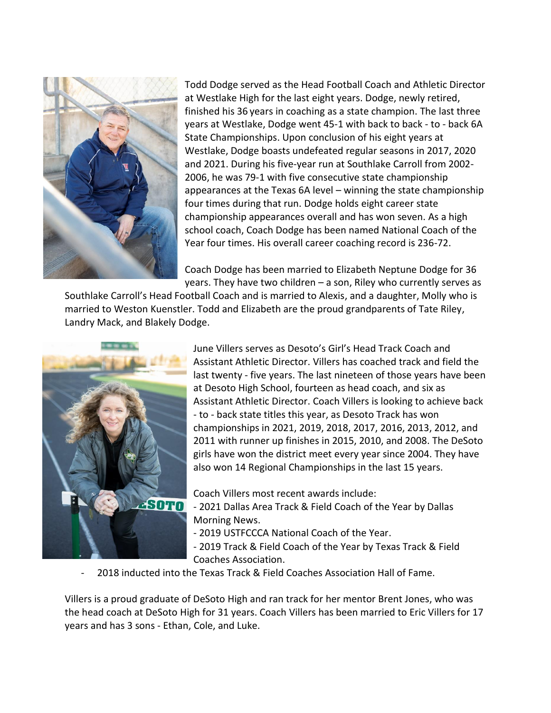

Todd Dodge served as the Head Football Coach and Athletic Director at Westlake High for the last eight years. Dodge, newly retired, finished his 36 years in coaching as a state champion. The last three years at Westlake, Dodge went 45-1 with back to back - to - back 6A State Championships. Upon conclusion of his eight years at Westlake, Dodge boasts undefeated regular seasons in 2017, 2020 and 2021. During his five-year run at Southlake Carroll from 2002- 2006, he was 79-1 with five consecutive state championship appearances at the Texas 6A level – winning the state championship four times during that run. Dodge holds eight career state championship appearances overall and has won seven. As a high school coach, Coach Dodge has been named National Coach of the Year four times. His overall career coaching record is 236-72.

Coach Dodge has been married to Elizabeth Neptune Dodge for 36 years. They have two children – a son, Riley who currently serves as

Southlake Carroll's Head Football Coach and is married to Alexis, and a daughter, Molly who is married to Weston Kuenstler. Todd and Elizabeth are the proud grandparents of Tate Riley, Landry Mack, and Blakely Dodge.



June Villers serves as Desoto's Girl's Head Track Coach and Assistant Athletic Director. Villers has coached track and field the last twenty - five years. The last nineteen of those years have been at Desoto High School, fourteen as head coach, and six as Assistant Athletic Director. Coach Villers is looking to achieve back - to - back state titles this year, as Desoto Track has won championships in 2021, 2019, 2018, 2017, 2016, 2013, 2012, and 2011 with runner up finishes in 2015, 2010, and 2008. The DeSoto girls have won the district meet every year since 2004. They have also won 14 Regional Championships in the last 15 years.

Coach Villers most recent awards include:

- 2021 Dallas Area Track & Field Coach of the Year by Dallas Morning News.
- 2019 USTFCCCA National Coach of the Year.
- 2019 Track & Field Coach of the Year by Texas Track & Field Coaches Association.
- 2018 inducted into the Texas Track & Field Coaches Association Hall of Fame.

Villers is a proud graduate of DeSoto High and ran track for her mentor Brent Jones, who was the head coach at DeSoto High for 31 years. Coach Villers has been married to Eric Villers for 17 years and has 3 sons - Ethan, Cole, and Luke.